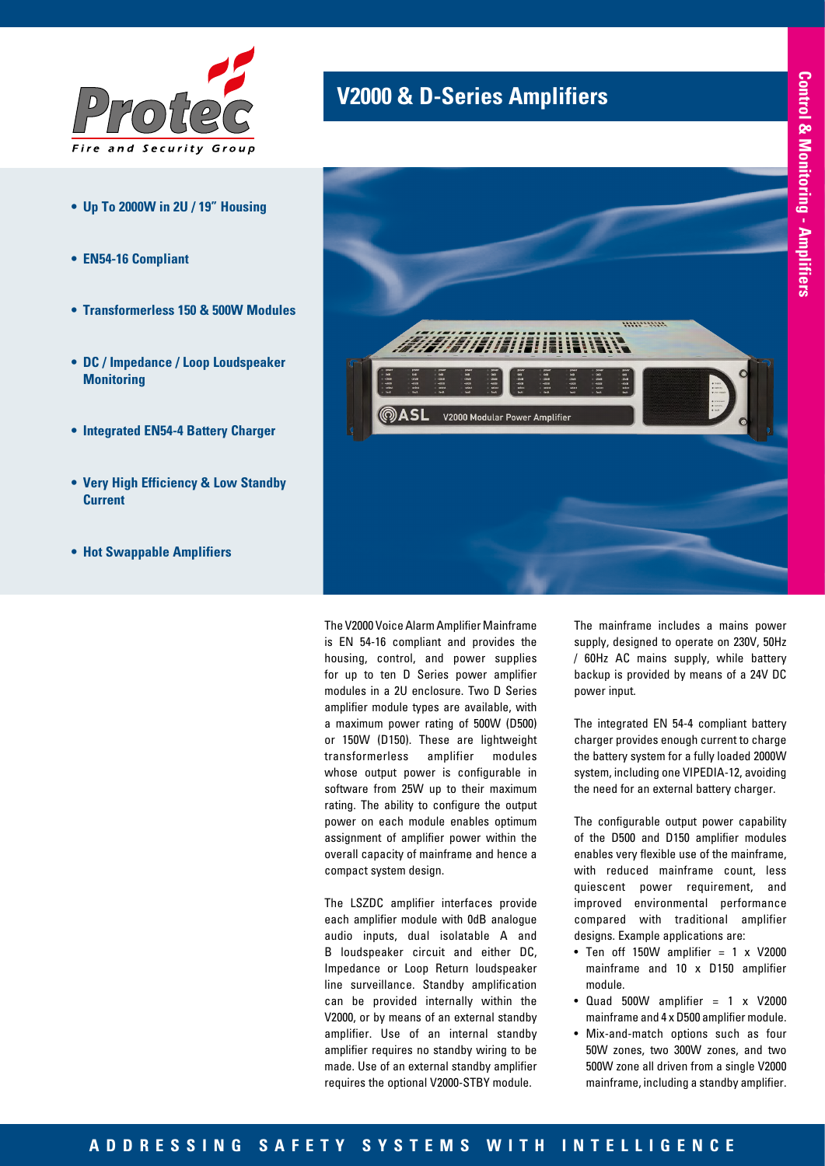

- **• Up To 2000W in 2U / 19" Housing**
- **• EN54-16 Compliant**
- **• Transformerless 150 & 500W Modules**
- **• DC / Impedance / Loop Loudspeaker Monitoring**
- **• Integrated EN54-4 Battery Charger**
- **• Very High Efficiency & Low Standby Current**
- **• Hot Swappable Amplifiers**

## **V2000 & D-Series Amplifiers**



The V2000 Voice Alarm Amplifier Mainframe is EN 54-16 compliant and provides the housing, control, and power supplies for up to ten D Series power amplifier modules in a 2U enclosure. Two D Series amplifier module types are available, with a maximum power rating of 500W (D500) or 150W (D150). These are lightweight transformerless amplifier modules whose output power is configurable in software from 25W up to their maximum rating. The ability to configure the output power on each module enables optimum assignment of amplifier power within the overall capacity of mainframe and hence a compact system design.

The LSZDC amplifier interfaces provide each amplifier module with 0dB analogue audio inputs, dual isolatable A and B loudspeaker circuit and either DC, Impedance or Loop Return loudspeaker line surveillance. Standby amplification can be provided internally within the V2000, or by means of an external standby amplifier. Use of an internal standby amplifier requires no standby wiring to be made. Use of an external standby amplifier requires the optional V2000-STBY module.

The mainframe includes a mains power supply, designed to operate on 230V, 50Hz / 60Hz AC mains supply, while battery backup is provided by means of a 24V DC power input.

The integrated EN 54-4 compliant battery charger provides enough current to charge the battery system for a fully loaded 2000W system, including one VIPEDIA-12, avoiding the need for an external battery charger.

The configurable output power capability of the D500 and D150 amplifier modules enables very flexible use of the mainframe, with reduced mainframe count, less quiescent power requirement, and improved environmental performance compared with traditional amplifier designs. Example applications are:

- Ten off 150W amplifier  $= 1 \times V2000$ mainframe and 10 x D150 amplifier module.
- Quad 500W amplifier  $= 1 \times V2000$ mainframe and 4 x D500 amplifier module.
- Mix-and-match options such as four 50W zones, two 300W zones, and two 500W zone all driven from a single V2000 mainframe, including a standby amplifier.